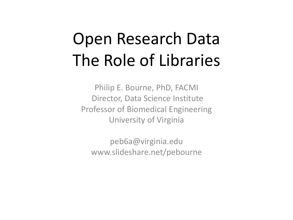# Open Research Data The Role of Libraries

Philip E. Bourne, PhD, FACMI Director, Data Science Institute Professor of Biomedical Engineering University of Virginia

peb6a@virginia.edu www.slideshare.net/pebourne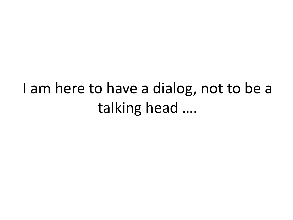#### I am here to have a dialog, not to be a talking head ….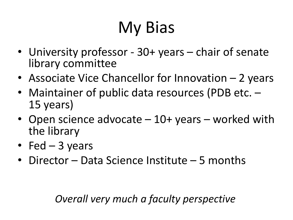# My Bias

- University professor 30+ years chair of senate library committee
- Associate Vice Chancellor for Innovation 2 years
- Maintainer of public data resources (PDB etc. –<br>15 years)
- Open science advocate 10+ years worked with the library
- Fed  $-$  3 years
- Director Data Science Institute 5 months

*Overall very much a faculty perspective*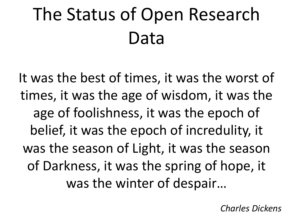# The Status of Open Research Data

It was the best of times, it was the worst of times, it was the age of wisdom, it was the age of foolishness, it was the epoch of belief, it was the epoch of incredulity, it was the season of Light, it was the season of Darkness, it was the spring of hope, it was the winter of despair…

*Charles Dickens*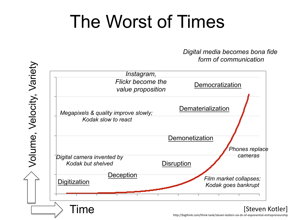# The Worst of Times

*Digital media becomes bona fide form of communication*



http://bigthink.com/think-tank/steven-kotlers-six-ds-of-exponential-entrepreneurship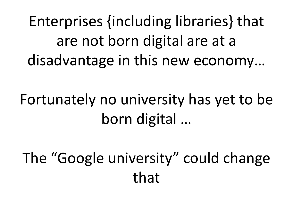Enterprises {including libraries} that are not born digital are at a disadvantage in this new economy…

Fortunately no university has yet to be born digital …

The "Google university" could change that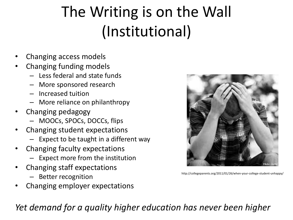# The Writing is on the Wall (Institutional)

- Changing access models
- Changing funding models
	- Less federal and state funds
	- More sponsored research
	- Increased tuition
	- More reliance on philanthropy
- Changing pedagogy
	- MOOCs, SPOCs, DOCCs, flips
- Changing student expectations
	- Expect to be taught in a different way
- Changing faculty expectations
	- Expect more from the institution
- Changing staff expectations
	- Better recognition
- Changing employer expectations

*Yet demand for a quality higher education has never been higher*



http://collegeparents.org/2011/01/26/when-your-college-student-unhappy/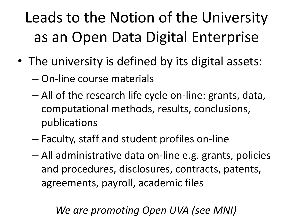# Leads to the Notion of the University as an Open Data Digital Enterprise

- The university is defined by its digital assets:
	- On-line course materials
	- All of the research life cycle on-line: grants, data, computational methods, results, conclusions, publications
	- Faculty, staff and student profiles on-line
	- All administrative data on-line e.g. grants, policies and procedures, disclosures, contracts, patents, agreements, payroll, academic files

#### *We are promoting Open UVA (see MNI)*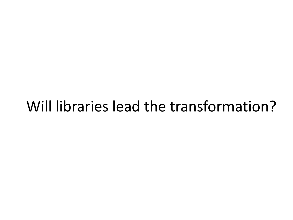#### Will libraries lead the transformation?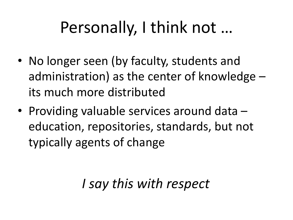# Personally, I think not …

- No longer seen (by faculty, students and administration) as the center of knowledge – its much more distributed
- Providing valuable services around data education, repositories, standards, but not typically agents of change

#### *I say this with respect*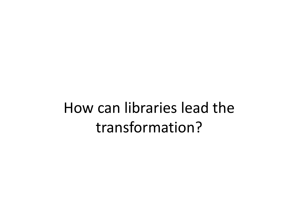#### How can libraries lead the transformation?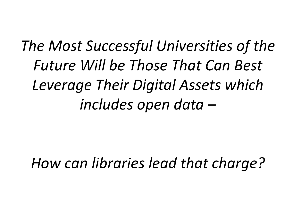## *The Most Successful Universities of the Future Will be Those That Can Best Leverage Their Digital Assets which includes open data –*

*How can libraries lead that charge?*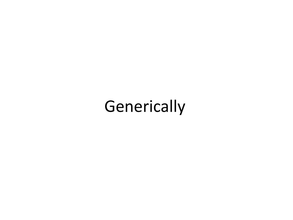# **Generically**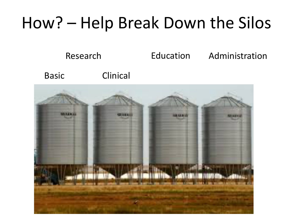### How? – Help Break Down the Silos

Research Basic Clinical Education Administration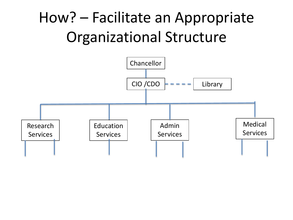#### How? – Facilitate an Appropriate Organizational Structure

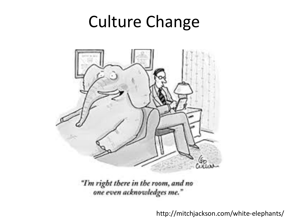### Culture Change



"I'm right there in the room, and no<br>"one even acknowledges me."

http://mitchjackson.com/white-elephants/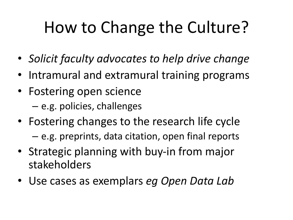# How to Change the Culture?

- *Solicit faculty advocates to help drive change*
- Intramural and extramural training programs
- Fostering open science – e.g. policies, challenges
- Fostering changes to the research life cycle
	- e.g. preprints, data citation, open final reports
- Strategic planning with buy-in from major stakeholders
- Use cases as exemplars *eg Open Data Lab*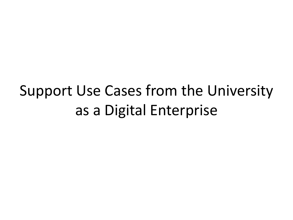#### Support Use Cases from the University as a Digital Enterprise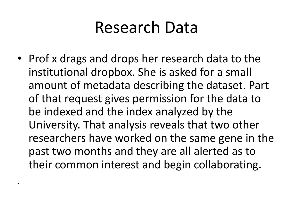#### Research Data

• Prof x drags and drops her research data to the institutional dropbox. She is asked for a small amount of metadata describing the dataset. Part of that request gives permission for the data to be indexed and the index analyzed by the University. That analysis reveals that two other researchers have worked on the same gene in the past two months and they are all alerted as to their common interest and begin collaborating.

*.*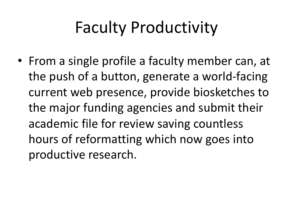# Faculty Productivity

• From a single profile a faculty member can, at the push of a button, generate a world-facing current web presence, provide biosketches to the major funding agencies and submit their academic file for review saving countless hours of reformatting which now goes into productive research.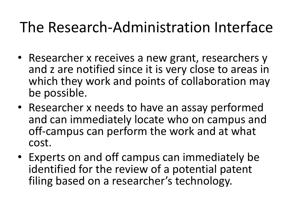#### The Research-Administration Interface

- Researcher x receives a new grant, researchers y and z are notified since it is very close to areas in which they work and points of collaboration may be possible.
- Researcher x needs to have an assay performed and can immediately locate who on campus and off-campus can perform the work and at what cost.
- Experts on and off campus can immediately be identified for the review of a potential patent filing based on a researcher's technology.